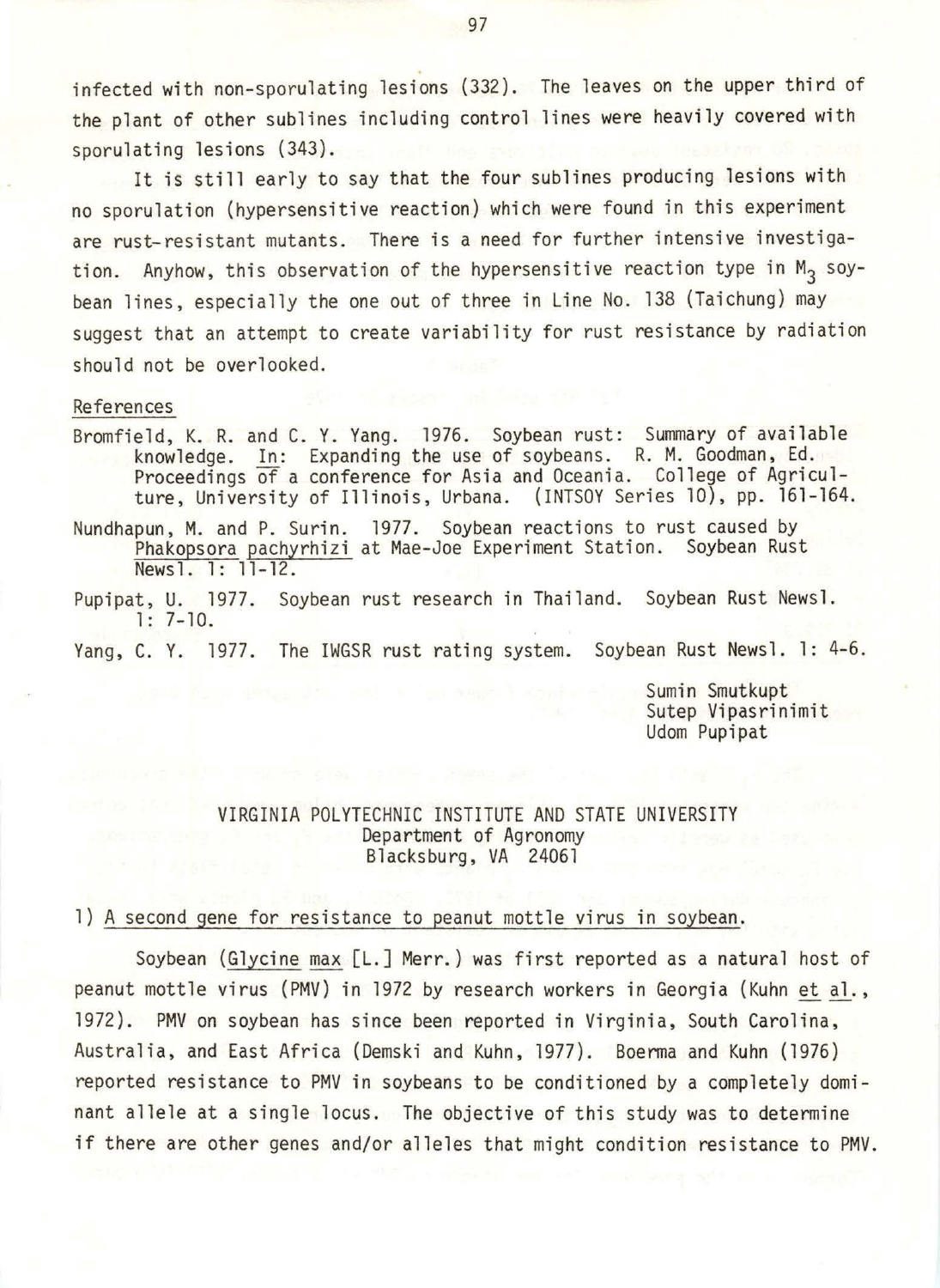infected with non-sporulating lesions (332). The leaves on the upper third of the plant of other sublines including control lines were heavily covered with sporulating lesions (343).

It is still early to say that the four sublines producing lesions with no sporulation (hypersensitive reaction) which were found in this experiment are rust-resistant mutants. There is a need for further intensive investigation. Anyhow, this observation of the hypersensitive reaction type in  $M_2$  soybean lines, especially the one out of three in Line No. 138 (Taichung) may suggest that an attempt to create variability for rust resistance by radiation should not be overlooked.

### References

- Bromfield, K. R. and C. Y. Yang. 1976. Soybean rust: Summary of available knowledge. In: Expanding the use of soybeans. R. M. Goodman, Ed. Proceedings of a conference for Asia and Oceania. College of Agriculture, University of Illinois, Urbana. (INTSOY Series 10), pp. 161-164.
- Nundhapun, M. and P. Surin. 1977. Soybean reactions to rust caused by Phakopsora pachyrhizi at Mae-Joe Experiment Station. Soybean Rust Newsl. 1: 11-12.
- Pupipat, U. 1977. Soybean rust research in Thailand. Soybean Rust Newsl. 1: 7-10.

Yang, C. Y. 1977. The IWGSR rust rating system. Soybean Rust Newsl. 1: 4-6.

Sumin Smutkupt<br>Sutep Vipasrinimit Udom Pupipat

### VIRGINIA POLYTECHNIC INSTITUTE AND STATE UNIVERSITY Department of Agronomy Blacksburg, VA 24061

### 1) A second gene for resistance to peanut mottle virus in soybean.

Soybean (Glycine max [L.] Merr.) was first reported as a natural host of peanut mottle virus (PMV) in 1972 by research workers in Georgia (Kuhn et al., 1972). PMV on soybean has since been reported in Virginia, South Carolina, Australia, and East Africa (Demski and Kuhn, 1977). Boerma and Kuhn (1976) reported resistance to PMV in soybeans to be conditioned by a completely dominant allele at a single locus. The objective of this study was to determine if there are other genes and/or alleles that might condition resistance to PMV.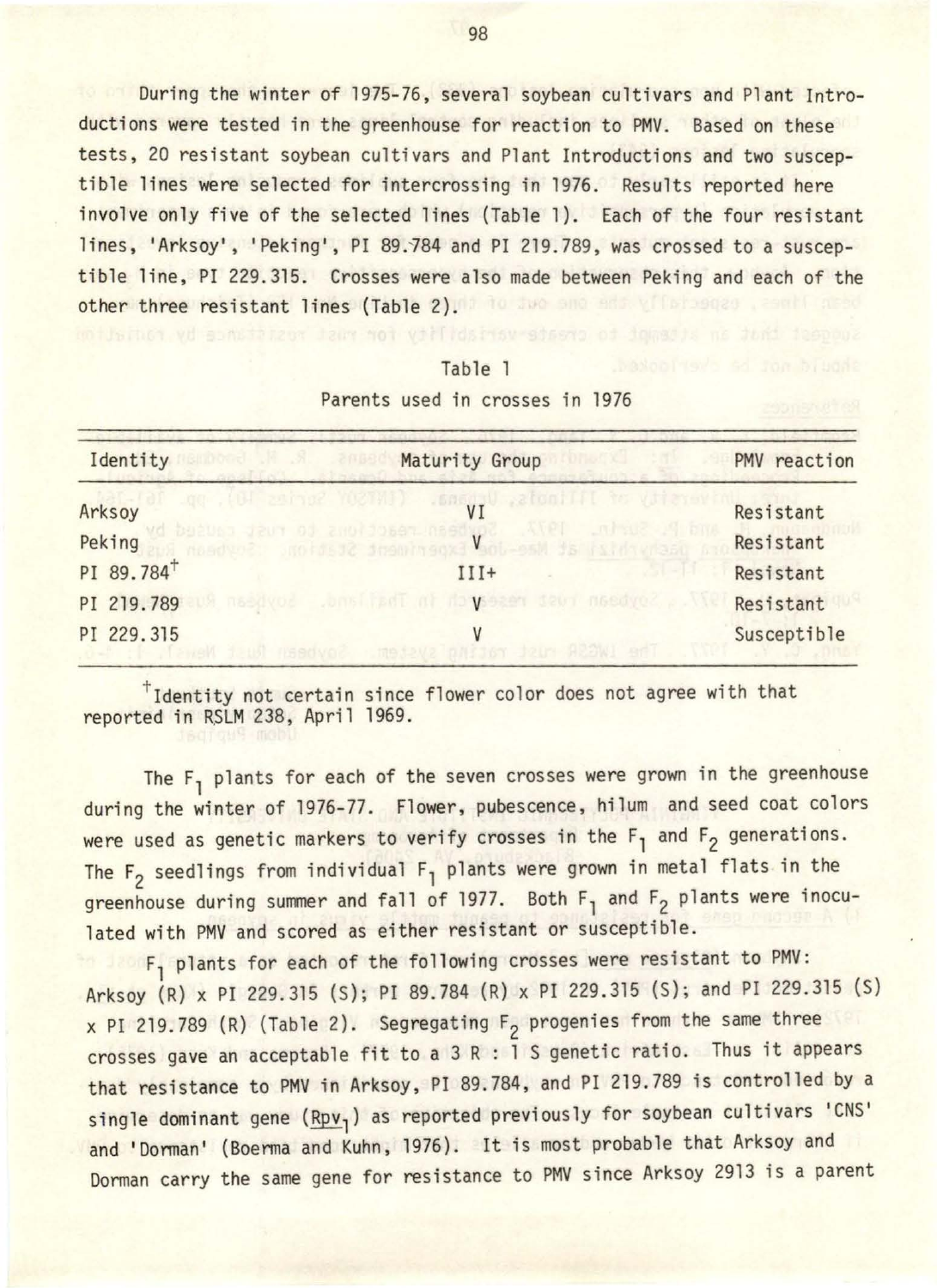During the winter of 1975-76, several soybean cultivars and Plant Introductions were tested in the greenhouse for reaction to PMV. Based on these tests, 20 resistant soybean cultivars and Plant Introductions and two susceptible lines were selected for intercrossing in 1976. Results reported here involve only five of the selected lines (Table 1). Each of the four resistant lines, 'Arksoy', 'Peking', PI 89.784 and PI 219.789, was crossed to a susceptible line, PI 229.315. Crosses were also made between Peking and each of the other three resistant lines (Table 2). The success and the same

# Table 1 Parents used in crosses in 1976

| Identity               | Maturity Group                                              | PMV reaction |  |
|------------------------|-------------------------------------------------------------|--------------|--|
| Arksoy                 | .ztoniTTT<br>.gg . (BI saino? YOSTAI)<br>VI                 | Resistant    |  |
| Peking                 | 200120697-0890<br>mondume and spendingox Vant est is island | Resistant    |  |
| PI 89.784 <sup>+</sup> | $III+$                                                      | Resistant    |  |
| PI 219.789             | nasdvod Jonsijadi of doveser seui nasdvod                   | Resistant    |  |
| PI 229.315             |                                                             | Susceptible  |  |

tidentity not certain since flower color does not agree with that reported in RSLM 238, April 1969.

The  $F_1$  plants for each of the seven crosses were grown in the greenhouse during the winter of 1976-77. Flower, pubescence, hilum and seed coat colors were used as genetic markers to verify crosses in the  $F_1$  and  $F_2$  generations. The  $F_2$  seedlings from individual  $F_1$  plants were grown in metal flats in the greenhouse during summer and fall of 1977. Both  $F_1$  and  $F_2$  plants were inoculated with PMV and scored as either resistant or susceptible.

F<sub>1</sub> plants for each of the following crosses were resistant to PMV: Arksoy (R) x PI 229.315 (S); PI 89 . 784 (R) x PI 229.315 (S); and PI 229.315 (S)  $\times$  PI 219.789 (R) (Table 2). Segregating  $F_2$  progenies from the same three crosses gave an acceptable fit to a 3 R : 1 S genetic ratio. Thus it appears that resistance to PMV in Arksoy, PI 89.784, and PI 219.789 is controlled by a single dominant gene  $(Rpv_1)$  as reported previously for soybean cultivars 'CNS' and 'Dorman' (Boerma and Kuhn, 1976). It is most probable that Arksoy and Dorman carry the same gene for resistance to PMV since Arksoy 2913 is a parent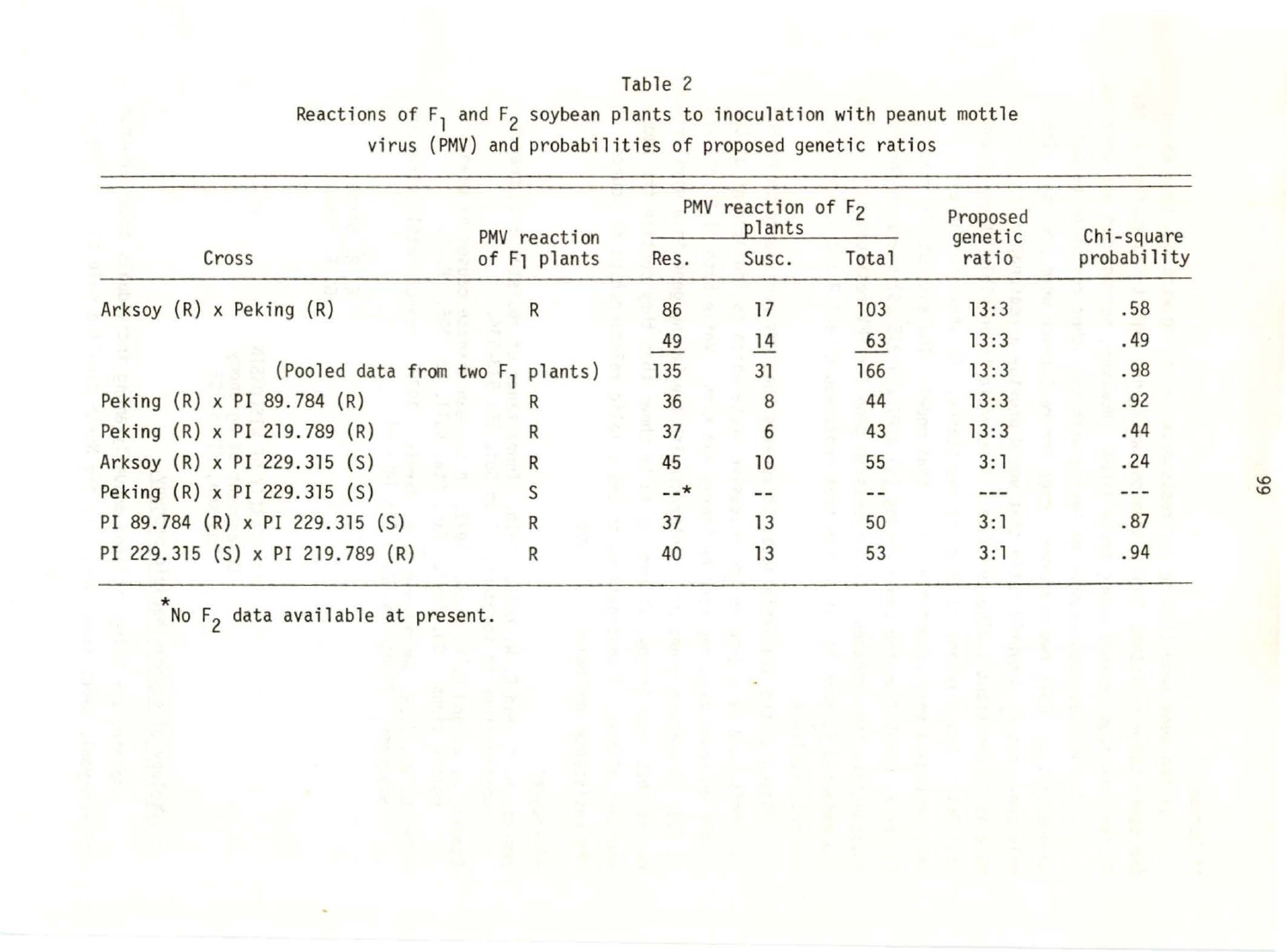|                                      | PMV reaction<br>of F <sub>1</sub> plants | PMV reaction of $F_2$<br>plants |                |              | Proposed<br>genetic | Chi-square  |
|--------------------------------------|------------------------------------------|---------------------------------|----------------|--------------|---------------------|-------------|
| Cross                                |                                          | Res.                            | Susc.          | <b>Total</b> | ratio               | probability |
| Arksoy $(R)$ x Peking $(R)$<br>R     |                                          | 86                              | 17             | 103          | 13:3                | .58         |
|                                      |                                          | 49                              | $\frac{14}{1}$ | 63           | 13:3                | .49         |
| (Pooled data from two F, plants)     |                                          | 135                             | 31             | 166          | 13:3                | .98         |
| Peking (R) x PI 89.784 (R)<br>R      |                                          | 36                              | 8              | 44           | 13:3                | .92         |
| Peking (R) x PI 219.789 (R)<br>R     |                                          | 37                              | 6              | 43           | 13:3                | .44         |
| Arksoy (R) x PI 229.315 (S)<br>R     |                                          | 45                              | 10             | 55           | 3:1                 | .24         |
| Peking (R) x PI 229.315 (S)<br>S     |                                          | $--*$                           |                |              |                     |             |
| PI 89.784 (R) x PI 229.315 (S)<br>R  |                                          | 37                              | 13             | 50           | 3:1                 | .87         |
| PI 229.315 (S) x PI 219.789 (R)<br>R |                                          | 40                              | 13             | 53           | 3:1                 | .94         |

Table 2 Reactions of F<sub>1</sub> and F<sub>2</sub> soybean plants to inoculation with peanut mottle virus (PMV) and probabilities of proposed genetic ratios

 $\sum_{1}^{\star}$ No F<sub>2</sub> data available at present.

l.O l.O